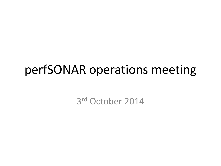### perfSONAR operations meeting

3 rd October 2014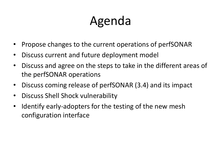## Agenda

- Propose changes to the current operations of perfSONAR
- Discuss current and future deployment model
- Discuss and agree on the steps to take in the different areas of the perfSONAR operations
- Discuss coming release of perfSONAR (3.4) and its impact
- Discuss Shell Shock vulnerability
- Identify early-adopters for the testing of the new mesh configuration interface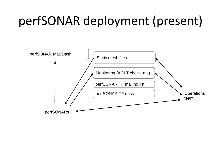## perfSONAR deployment (present)

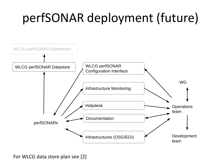# perfSONAR deployment (future)



For WLCG data store plan see [2]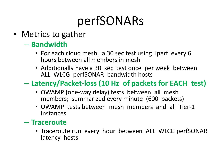# perfSONARs

- Metrics to gather
	- **Bandwidth**
		- For each cloud mesh, a 30 sec test using Iperf every 6 hours between all members in mesh
		- Additionally have a 30 sec test once per week between ALL WLCG perfSONAR bandwidth hosts

#### – **Latency/Packet-loss (10 Hz of packets for EACH test)**

- OWAMP (one-way delay) tests between all mesh members; summarized every minute (600 packets)
- OWAMP tests between mesh members and all Tier-1 instances

#### – **Traceroute**

• Traceroute run every hour between ALL WLCG perfSONAR latency hosts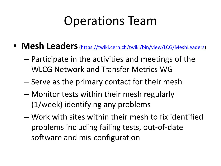## Operations Team

- Mesh Leaders [\(https://twiki.cern.ch/twiki/bin/view/LCG/MeshLeaders](https://twiki.cern.ch/twiki/bin/view/LCG/MeshLeaders))
	- Participate in the activities and meetings of the WLCG Network and Transfer Metrics WG
	- Serve as the primary contact for their mesh
	- Monitor tests within their mesh regularly (1/week) identifying any problems
	- Work with sites within their mesh to fix identified problems including failing tests, out-of-date software and mis-configuration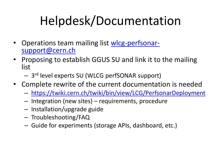# Helpdesk/Documentation

- Operations team mailing list [wlcg-perfsonar](mailto:wlcg-perfsonar-support@cern.ch)[support@cern.ch](mailto:wlcg-perfsonar-support@cern.ch)
- Proposing to establish GGUS SU and link it to the mailing list
	- 3<sup>rd</sup> level experts SU (WLCG perfSONAR support)
- Complete rewrite of the current documentation is needed
	- <https://twiki.cern.ch/twiki/bin/view/LCG/PerfsonarDeployment>
	- Integration (new sites) requirements, procedure
	- Installation/upgrade guide
	- Troubleshooting/FAQ
	- Guide for experiments (storage APIs, dashboard, etc.)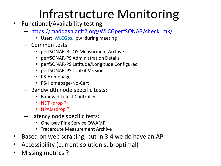## Infrastructure Monitoring

- Functional/Availability testing
	- [https://maddash.aglt2.org/WLCGperfSONAR/check\\_mk/](https://maddash.aglt2.org/WLCGperfSONAR/check_mk/)
		- User: WLCGps, pw during meeting
	- Common tests:
		- perfSONAR-BUOY Measurment Archive
		- perfSONAR-PS Administration Details
		- perfSONAR-PS Latitude/Longitude Configured
		- perfSONAR-PS Toolkit Version
		- PS-Homepage
		- PS-Homepage-No-Cert
	- Bandwidth node specific tests:
		- Bandwidth Test Controller
		- NDT (drop ?)
		- NPAD (drop ?)
	- Latency node specific tests:
		- One-way Ping Service OWAMP
		- Traceroute Measurement Archive
- Based on web scraping, but in 3.4 we do have an API
- Accessibility (current solution sub-optimal)
- Missing metrics?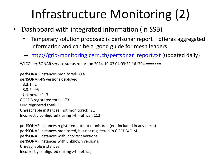# Infrastructure Monitoring (2)

- Dashboard with integrated information (in SSB)
	- Temporary solution proposed is perfsonar report offeres aggregated information and can be a good guide for mesh leaders
	- [http://grid-monitoring.cern.ch/perfsonar\\_report.txt](http://grid-monitoring.cern.ch/perfsonar_report.txt) (updated daily)

WLCG perfSONAR service status report on 2014-10-03 04:03:29.161704 =======

perfSONAR instances monitored: 214 perfSONAR-PS versions deployed:  $3.3.1 : 2$  3.3.2 : 95 Unknown: 113 GOCDB registered total: 173 OIM registered total: 55 Unreachable instances (not monitored): 91 Incorrectly configured (failing >4 metrics): 112

perfSONAR instances registered but not monitored (not included in any mesh) perfSONAR instances monitored, but not registered in GOCDB/OIM perfSONAR instances with incorrect versions perfSONAR instances with unknown versions: Unreachable instances Incorrectly configured (failing >4 metrics)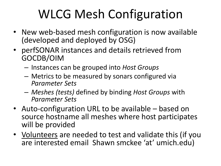# WLCG Mesh Configuration

- New web-based mesh configuration is now available (developed and deployed by OSG)
- perfSONAR instances and details retrieved from GOCDB/OIM
	- Instances can be grouped into *Host Groups*
	- Metrics to be measured by sonars configured via *Parameter Sets*
	- *Meshes (tests)* defined by binding *Host Groups* with *Parameter Sets*
- Auto-configuration URL to be available based on source hostname all meshes where host participates will be provided
- Volunteers are needed to test and validate this (if you are interested email Shawn smckee 'at' umich.edu)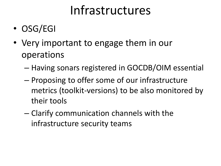## Infrastructures

- OSG/EGI
- Very important to engage them in our operations
	- Having sonars registered in GOCDB/OIM essential
	- Proposing to offer some of our infrastructure metrics (toolkit-versions) to be also monitored by their tools
	- Clarify communication channels with the infrastructure security teams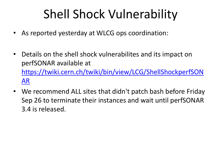## Shell Shock Vulnerability

- As reported yesterday at WLCG ops coordination:
- Details on the shell shock vulnerabilites and its impact on perfSONAR available at [https://twiki.cern.ch/twiki/bin/view/LCG/ShellShockperfSON](https://twiki.cern.ch/twiki/bin/view/LCG/ShellShockperfSONAR) [AR](https://twiki.cern.ch/twiki/bin/view/LCG/ShellShockperfSONAR)
- We recommend ALL sites that didn't patch bash before Friday Sep 26 to terminate their instances and wait until perfSONAR 3.4 is released.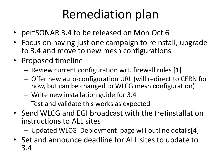## Remediation plan

- perfSONAR 3.4 to be released on Mon Oct 6
- Focus on having just one campaign to reinstall, upgrade to 3.4 and move to new mesh configurations
- Proposed timeline
	- Review current configuration wrt. firewall rules [1]
	- Offer new auto-configuration URL (will redirect to CERN for now, but can be changed to WLCG mesh configuration)
	- Write new installation guide for 3.4
	- Test and validate this works as expected
- Send WLCG and EGI broadcast with the (re)installation instructions to ALL sites
	- Updated WLCG Deployment page will outline details[4]
- Set and announce deadline for ALL sites to update to 3.4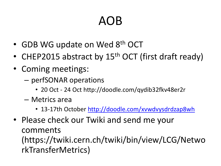## AOB

- GDB WG update on Wed 8<sup>th</sup> OCT
- CHEP2015 abstract by 15<sup>th</sup> OCT (first draft ready)
- Coming meetings:
	- perfSONAR operations
		- 20 Oct 24 Oct http://doodle.com/qydib32fkv48er2r
	- Metrics area
		- 13-17th October <http://doodle.com/xvwdvysdrdzap8wh>
- Please check our Twiki and send me your comments (https://twiki.cern.ch/twiki/bin/view/LCG/Netwo rkTransferMetrics)